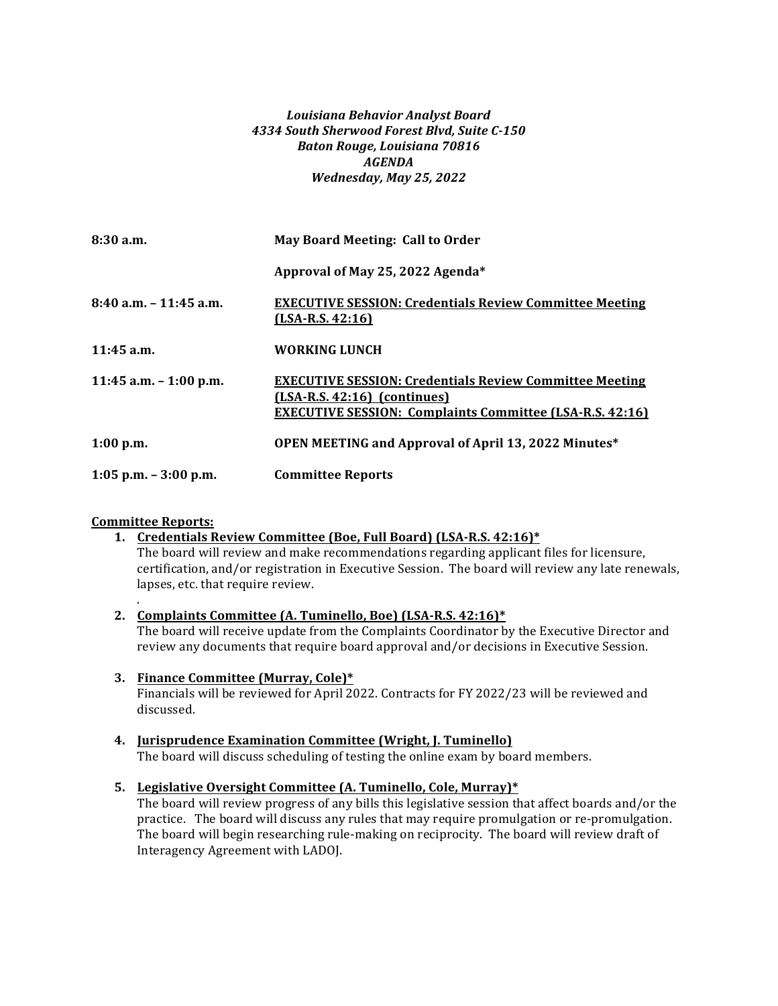### *Louisiana Behavior Analyst Board 4334 South Sherwood Forest Blvd, Suite C-150 Baton Rouge, Louisiana 70816 AGENDA Wednesday, May 25, 2022*

| 8:30 a.m.                 | May Board Meeting: Call to Order                                                                                                                                    |
|---------------------------|---------------------------------------------------------------------------------------------------------------------------------------------------------------------|
|                           | Approval of May 25, 2022 Agenda*                                                                                                                                    |
| $8:40$ a.m. $-11:45$ a.m. | <b>EXECUTIVE SESSION: Credentials Review Committee Meeting</b><br>$(LSA-R.S. 42:16)$                                                                                |
| 11:45 a.m.                | <b>WORKING LUNCH</b>                                                                                                                                                |
| 11:45 a.m. $-$ 1:00 p.m.  | <b>EXECUTIVE SESSION: Credentials Review Committee Meeting</b><br>$(LSA-R.S. 42:16)$ (continues)<br><b>EXECUTIVE SESSION: Complaints Committee (LSA-R.S. 42:16)</b> |
| 1:00 p.m.                 | OPEN MEETING and Approval of April 13, 2022 Minutes*                                                                                                                |
| $1:05$ p.m. $-3:00$ p.m.  | <b>Committee Reports</b>                                                                                                                                            |

### **Committee Reports:**

.

### 1. Credentials Review Committee (Boe, Full Board) (LSA-R.S. 42:16)<sup>\*</sup>

The board will review and make recommendations regarding applicant files for licensure, certification, and/or registration in Executive Session. The board will review any late renewals, lapses, etc. that require review.

### 2. **Complaints Committee (A. Tuminello, Boe)** (LSA-R.S. 42:16)\*

The board will receive update from the Complaints Coordinator by the Executive Director and review any documents that require board approval and/or decisions in Executive Session.

### **3. Finance Committee (Murray, Cole)\***

Financials will be reviewed for April 2022. Contracts for FY 2022/23 will be reviewed and discussed.

# **4. Jurisprudence Examination Committee (Wright, J. Tuminello)**

The board will discuss scheduling of testing the online exam by board members.

### **5.** Legislative Oversight Committee (A. Tuminello, Cole, Murray)\*

The board will review progress of any bills this legislative session that affect boards and/or the practice. The board will discuss any rules that may require promulgation or re-promulgation. The board will begin researching rule-making on reciprocity. The board will review draft of Interagency Agreement with LADOJ.